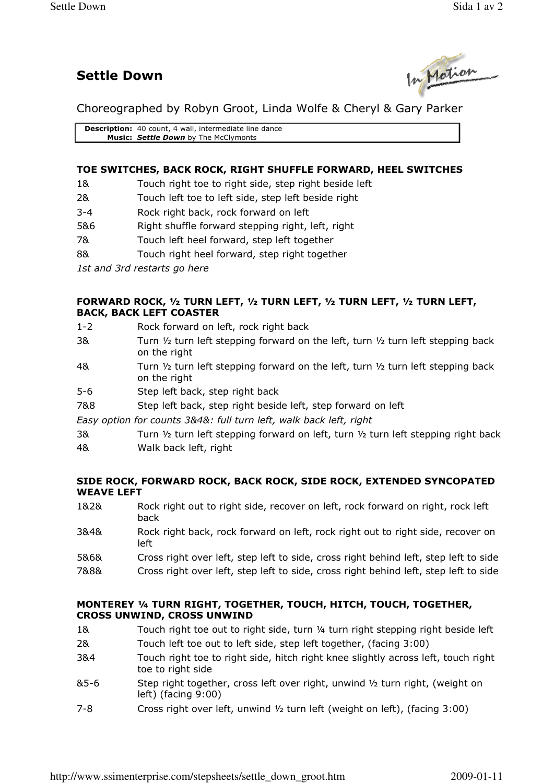# Settle Down



Choreographed by Robyn Groot, Linda Wolfe & Cheryl & Gary Parker

Description: 40 count, 4 wall, intermediate line dance Music: Settle Down by The McClymonts

# TOE SWITCHES, BACK ROCK, RIGHT SHUFFLE FORWARD, HEEL SWITCHES

- 1& Touch right toe to right side, step right beside left
- 2& Touch left toe to left side, step left beside right
- 3-4 Rock right back, rock forward on left
- 5&6 Right shuffle forward stepping right, left, right
- 7& Touch left heel forward, step left together
- 8& Touch right heel forward, step right together
- 1st and 3rd restarts go here

#### FORWARD ROCK, ½ TURN LEFT, ½ TURN LEFT, ½ TURN LEFT, ½ TURN LEFT, BACK, BACK LEFT COASTER

- 1-2 Rock forward on left, rock right back
- 3& Turn  $\frac{1}{2}$  turn left stepping forward on the left, turn  $\frac{1}{2}$  turn left stepping back on the right
- 4& Turn 1/2 turn left stepping forward on the left, turn 1/2 turn left stepping back on the right
- 5-6 Step left back, step right back
- 7&8 Step left back, step right beside left, step forward on left
- Easy option for counts 3&4&: full turn left, walk back left, right
- 3& Turn  $\frac{1}{2}$  turn left stepping forward on left, turn  $\frac{1}{2}$  turn left stepping right back 4& Walk back left, right

#### SIDE ROCK, FORWARD ROCK, BACK ROCK, SIDE ROCK, EXTENDED SYNCOPATED WEAVE LEFT

- 1&2& Rock right out to right side, recover on left, rock forward on right, rock left back
- 3&4& Rock right back, rock forward on left, rock right out to right side, recover on left
- 5&6& Cross right over left, step left to side, cross right behind left, step left to side
- 7&8& Cross right over left, step left to side, cross right behind left, step left to side

## MONTEREY ¼ TURN RIGHT, TOGETHER, TOUCH, HITCH, TOUCH, TOGETHER, CROSS UNWIND, CROSS UNWIND

- 1& Touch right toe out to right side, turn ¼ turn right stepping right beside left 2& Touch left toe out to left side, step left together, (facing 3:00)
- 3&4 Touch right toe to right side, hitch right knee slightly across left, touch right toe to right side
- $85-6$  Step right together, cross left over right, unwind  $\frac{1}{2}$  turn right, (weight on left) (facing 9:00)
- 7-8 Cross right over left, unwind ½ turn left (weight on left), (facing 3:00)